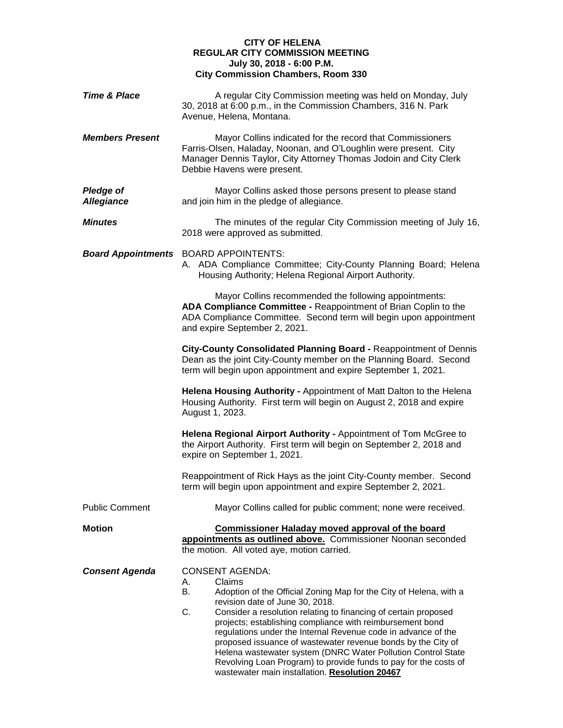## **CITY OF HELENA REGULAR CITY COMMISSION MEETING July 30, 2018 - 6:00 P.M. City Commission Chambers, Room 330**

| <b>Time &amp; Place</b>               | A regular City Commission meeting was held on Monday, July<br>30, 2018 at 6:00 p.m., in the Commission Chambers, 316 N. Park<br>Avenue, Helena, Montana.                                                                                                                                                                                                                                                                                                                                                                                                                                                           |
|---------------------------------------|--------------------------------------------------------------------------------------------------------------------------------------------------------------------------------------------------------------------------------------------------------------------------------------------------------------------------------------------------------------------------------------------------------------------------------------------------------------------------------------------------------------------------------------------------------------------------------------------------------------------|
| <b>Members Present</b>                | Mayor Collins indicated for the record that Commissioners<br>Farris-Olsen, Haladay, Noonan, and O'Loughlin were present. City<br>Manager Dennis Taylor, City Attorney Thomas Jodoin and City Clerk<br>Debbie Havens were present.                                                                                                                                                                                                                                                                                                                                                                                  |
| <b>Pledge of</b><br><b>Allegiance</b> | Mayor Collins asked those persons present to please stand<br>and join him in the pledge of allegiance.                                                                                                                                                                                                                                                                                                                                                                                                                                                                                                             |
| <b>Minutes</b>                        | The minutes of the regular City Commission meeting of July 16,<br>2018 were approved as submitted.                                                                                                                                                                                                                                                                                                                                                                                                                                                                                                                 |
| <b>Board Appointments</b>             | <b>BOARD APPOINTENTS:</b><br>A. ADA Compliance Committee; City-County Planning Board; Helena<br>Housing Authority; Helena Regional Airport Authority.                                                                                                                                                                                                                                                                                                                                                                                                                                                              |
|                                       | Mayor Collins recommended the following appointments:<br>ADA Compliance Committee - Reappointment of Brian Coplin to the<br>ADA Compliance Committee. Second term will begin upon appointment<br>and expire September 2, 2021.                                                                                                                                                                                                                                                                                                                                                                                     |
|                                       | City-County Consolidated Planning Board - Reappointment of Dennis<br>Dean as the joint City-County member on the Planning Board. Second<br>term will begin upon appointment and expire September 1, 2021.                                                                                                                                                                                                                                                                                                                                                                                                          |
|                                       | Helena Housing Authority - Appointment of Matt Dalton to the Helena<br>Housing Authority. First term will begin on August 2, 2018 and expire<br>August 1, 2023.                                                                                                                                                                                                                                                                                                                                                                                                                                                    |
|                                       | Helena Regional Airport Authority - Appointment of Tom McGree to<br>the Airport Authority. First term will begin on September 2, 2018 and<br>expire on September 1, 2021.                                                                                                                                                                                                                                                                                                                                                                                                                                          |
|                                       | Reappointment of Rick Hays as the joint City-County member. Second<br>term will begin upon appointment and expire September 2, 2021.                                                                                                                                                                                                                                                                                                                                                                                                                                                                               |
| <b>Public Comment</b>                 | Mayor Collins called for public comment; none were received.                                                                                                                                                                                                                                                                                                                                                                                                                                                                                                                                                       |
| <b>Motion</b>                         | <b>Commissioner Haladay moved approval of the board</b><br>appointments as outlined above. Commissioner Noonan seconded<br>the motion. All voted aye, motion carried.                                                                                                                                                                                                                                                                                                                                                                                                                                              |
| <b>Consent Agenda</b>                 | <b>CONSENT AGENDA:</b><br>Claims<br>А.<br>В.<br>Adoption of the Official Zoning Map for the City of Helena, with a<br>revision date of June 30, 2018.<br>C.<br>Consider a resolution relating to financing of certain proposed<br>projects; establishing compliance with reimbursement bond<br>regulations under the Internal Revenue code in advance of the<br>proposed issuance of wastewater revenue bonds by the City of<br>Helena wastewater system (DNRC Water Pollution Control State<br>Revolving Loan Program) to provide funds to pay for the costs of<br>wastewater main installation. Resolution 20467 |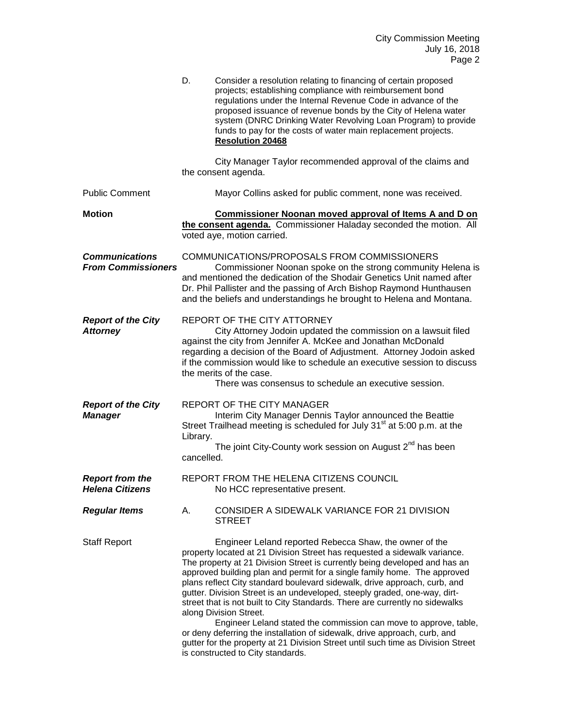|                                                    | D.                     | Consider a resolution relating to financing of certain proposed<br>projects; establishing compliance with reimbursement bond<br>regulations under the Internal Revenue Code in advance of the<br>proposed issuance of revenue bonds by the City of Helena water<br>system (DNRC Drinking Water Revolving Loan Program) to provide<br>funds to pay for the costs of water main replacement projects.<br><b>Resolution 20468</b>                                                                                                                                                                                                                                                                                                                                                                                                                |
|----------------------------------------------------|------------------------|-----------------------------------------------------------------------------------------------------------------------------------------------------------------------------------------------------------------------------------------------------------------------------------------------------------------------------------------------------------------------------------------------------------------------------------------------------------------------------------------------------------------------------------------------------------------------------------------------------------------------------------------------------------------------------------------------------------------------------------------------------------------------------------------------------------------------------------------------|
|                                                    |                        | City Manager Taylor recommended approval of the claims and<br>the consent agenda.                                                                                                                                                                                                                                                                                                                                                                                                                                                                                                                                                                                                                                                                                                                                                             |
| <b>Public Comment</b>                              |                        | Mayor Collins asked for public comment, none was received.                                                                                                                                                                                                                                                                                                                                                                                                                                                                                                                                                                                                                                                                                                                                                                                    |
| <b>Motion</b>                                      |                        | <b>Commissioner Noonan moved approval of Items A and D on</b><br>the consent agenda. Commissioner Haladay seconded the motion. All<br>voted aye, motion carried.                                                                                                                                                                                                                                                                                                                                                                                                                                                                                                                                                                                                                                                                              |
| <b>Communications</b><br><b>From Commissioners</b> |                        | COMMUNICATIONS/PROPOSALS FROM COMMISSIONERS<br>Commissioner Noonan spoke on the strong community Helena is<br>and mentioned the dedication of the Shodair Genetics Unit named after<br>Dr. Phil Pallister and the passing of Arch Bishop Raymond Hunthausen<br>and the beliefs and understandings he brought to Helena and Montana.                                                                                                                                                                                                                                                                                                                                                                                                                                                                                                           |
| <b>Report of the City</b><br><b>Attorney</b>       |                        | REPORT OF THE CITY ATTORNEY<br>City Attorney Jodoin updated the commission on a lawsuit filed<br>against the city from Jennifer A. McKee and Jonathan McDonald<br>regarding a decision of the Board of Adjustment. Attorney Jodoin asked<br>if the commission would like to schedule an executive session to discuss<br>the merits of the case.<br>There was consensus to schedule an executive session.                                                                                                                                                                                                                                                                                                                                                                                                                                      |
| <b>Report of the City</b><br><b>Manager</b>        | Library.<br>cancelled. | <b>REPORT OF THE CITY MANAGER</b><br>Interim City Manager Dennis Taylor announced the Beattie<br>Street Trailhead meeting is scheduled for July 31 <sup>st</sup> at 5:00 p.m. at the<br>The joint City-County work session on August 2 <sup>nd</sup> has been                                                                                                                                                                                                                                                                                                                                                                                                                                                                                                                                                                                 |
| <b>Report from the</b><br><b>Helena Citizens</b>   |                        | REPORT FROM THE HELENA CITIZENS COUNCIL<br>No HCC representative present.                                                                                                                                                                                                                                                                                                                                                                                                                                                                                                                                                                                                                                                                                                                                                                     |
| <b>Regular Items</b>                               | А.                     | CONSIDER A SIDEWALK VARIANCE FOR 21 DIVISION<br><b>STREET</b>                                                                                                                                                                                                                                                                                                                                                                                                                                                                                                                                                                                                                                                                                                                                                                                 |
| <b>Staff Report</b>                                |                        | Engineer Leland reported Rebecca Shaw, the owner of the<br>property located at 21 Division Street has requested a sidewalk variance.<br>The property at 21 Division Street is currently being developed and has an<br>approved building plan and permit for a single family home. The approved<br>plans reflect City standard boulevard sidewalk, drive approach, curb, and<br>gutter. Division Street is an undeveloped, steeply graded, one-way, dirt-<br>street that is not built to City Standards. There are currently no sidewalks<br>along Division Street.<br>Engineer Leland stated the commission can move to approve, table,<br>or deny deferring the installation of sidewalk, drive approach, curb, and<br>gutter for the property at 21 Division Street until such time as Division Street<br>is constructed to City standards. |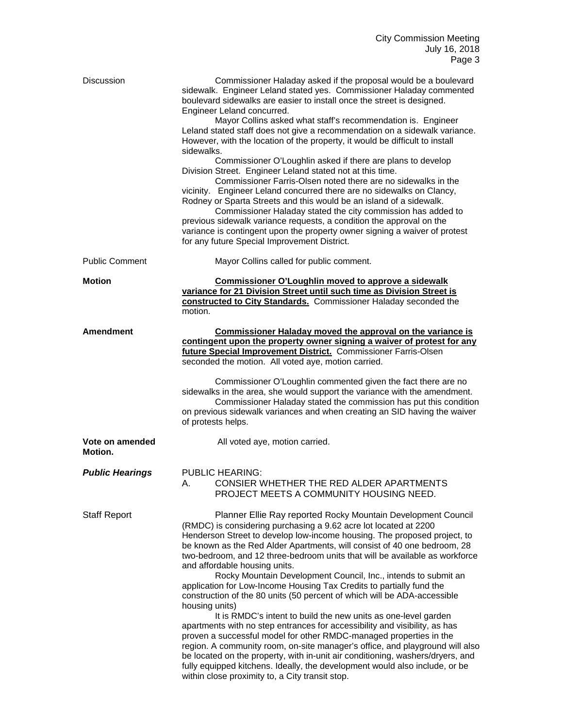| <b>Discussion</b>          | Commissioner Haladay asked if the proposal would be a boulevard<br>sidewalk. Engineer Leland stated yes. Commissioner Haladay commented<br>boulevard sidewalks are easier to install once the street is designed.<br>Engineer Leland concurred.                                                                                                                                                                                                                                                                                                                                                                                                                                                                                                                                                                                                                                                                                                                                                                                                                                                                                                                             |
|----------------------------|-----------------------------------------------------------------------------------------------------------------------------------------------------------------------------------------------------------------------------------------------------------------------------------------------------------------------------------------------------------------------------------------------------------------------------------------------------------------------------------------------------------------------------------------------------------------------------------------------------------------------------------------------------------------------------------------------------------------------------------------------------------------------------------------------------------------------------------------------------------------------------------------------------------------------------------------------------------------------------------------------------------------------------------------------------------------------------------------------------------------------------------------------------------------------------|
|                            | Mayor Collins asked what staff's recommendation is. Engineer<br>Leland stated staff does not give a recommendation on a sidewalk variance.<br>However, with the location of the property, it would be difficult to install<br>sidewalks.                                                                                                                                                                                                                                                                                                                                                                                                                                                                                                                                                                                                                                                                                                                                                                                                                                                                                                                                    |
|                            | Commissioner O'Loughlin asked if there are plans to develop<br>Division Street. Engineer Leland stated not at this time.<br>Commissioner Farris-Olsen noted there are no sidewalks in the<br>vicinity. Engineer Leland concurred there are no sidewalks on Clancy,<br>Rodney or Sparta Streets and this would be an island of a sidewalk.<br>Commissioner Haladay stated the city commission has added to<br>previous sidewalk variance requests, a condition the approval on the<br>variance is contingent upon the property owner signing a waiver of protest<br>for any future Special Improvement District.                                                                                                                                                                                                                                                                                                                                                                                                                                                                                                                                                             |
| <b>Public Comment</b>      | Mayor Collins called for public comment.                                                                                                                                                                                                                                                                                                                                                                                                                                                                                                                                                                                                                                                                                                                                                                                                                                                                                                                                                                                                                                                                                                                                    |
| <b>Motion</b>              | Commissioner O'Loughlin moved to approve a sidewalk<br>variance for 21 Division Street until such time as Division Street is<br>constructed to City Standards. Commissioner Haladay seconded the<br>motion.                                                                                                                                                                                                                                                                                                                                                                                                                                                                                                                                                                                                                                                                                                                                                                                                                                                                                                                                                                 |
| <b>Amendment</b>           | Commissioner Haladay moved the approval on the variance is<br>contingent upon the property owner signing a waiver of protest for any<br>future Special Improvement District. Commissioner Farris-Olsen<br>seconded the motion. All voted aye, motion carried.                                                                                                                                                                                                                                                                                                                                                                                                                                                                                                                                                                                                                                                                                                                                                                                                                                                                                                               |
|                            | Commissioner O'Loughlin commented given the fact there are no<br>sidewalks in the area, she would support the variance with the amendment.<br>Commissioner Haladay stated the commission has put this condition<br>on previous sidewalk variances and when creating an SID having the waiver<br>of protests helps.                                                                                                                                                                                                                                                                                                                                                                                                                                                                                                                                                                                                                                                                                                                                                                                                                                                          |
| Vote on amended<br>Motion. | All voted aye, motion carried.                                                                                                                                                                                                                                                                                                                                                                                                                                                                                                                                                                                                                                                                                                                                                                                                                                                                                                                                                                                                                                                                                                                                              |
| <b>Public Hearings</b>     | <b>PUBLIC HEARING:</b><br>A. CONSIER WHETHER THE RED ALDER APARTMENTS<br>PROJECT MEETS A COMMUNITY HOUSING NEED.                                                                                                                                                                                                                                                                                                                                                                                                                                                                                                                                                                                                                                                                                                                                                                                                                                                                                                                                                                                                                                                            |
| <b>Staff Report</b>        | Planner Ellie Ray reported Rocky Mountain Development Council<br>(RMDC) is considering purchasing a 9.62 acre lot located at 2200<br>Henderson Street to develop low-income housing. The proposed project, to<br>be known as the Red Alder Apartments, will consist of 40 one bedroom, 28<br>two-bedroom, and 12 three-bedroom units that will be available as workforce<br>and affordable housing units.<br>Rocky Mountain Development Council, Inc., intends to submit an<br>application for Low-Income Housing Tax Credits to partially fund the<br>construction of the 80 units (50 percent of which will be ADA-accessible<br>housing units)<br>It is RMDC's intent to build the new units as one-level garden<br>apartments with no step entrances for accessibility and visibility, as has<br>proven a successful model for other RMDC-managed properties in the<br>region. A community room, on-site manager's office, and playground will also<br>be located on the property, with in-unit air conditioning, washers/dryers, and<br>fully equipped kitchens. Ideally, the development would also include, or be<br>within close proximity to, a City transit stop. |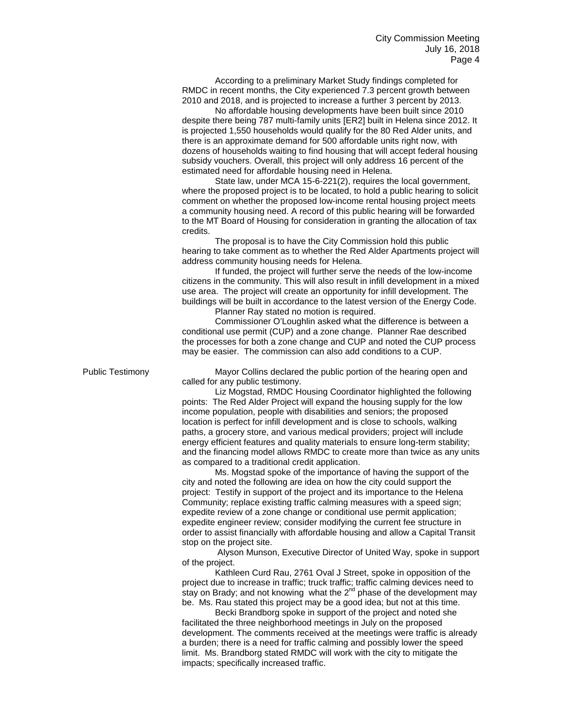According to a preliminary Market Study findings completed for RMDC in recent months, the City experienced 7.3 percent growth between 2010 and 2018, and is projected to increase a further 3 percent by 2013.

No affordable housing developments have been built since 2010 despite there being 787 multi-family units [ER2] built in Helena since 2012. It is projected 1,550 households would qualify for the 80 Red Alder units, and there is an approximate demand for 500 affordable units right now, with dozens of households waiting to find housing that will accept federal housing subsidy vouchers. Overall, this project will only address 16 percent of the estimated need for affordable housing need in Helena.

State law, under MCA 15-6-221(2), requires the local government, where the proposed project is to be located, to hold a public hearing to solicit comment on whether the proposed low-income rental housing project meets a community housing need. A record of this public hearing will be forwarded to the MT Board of Housing for consideration in granting the allocation of tax credits.

The proposal is to have the City Commission hold this public hearing to take comment as to whether the Red Alder Apartments project will address community housing needs for Helena.

If funded, the project will further serve the needs of the low-income citizens in the community. This will also result in infill development in a mixed use area. The project will create an opportunity for infill development. The buildings will be built in accordance to the latest version of the Energy Code. Planner Ray stated no motion is required.

Commissioner O'Loughlin asked what the difference is between a conditional use permit (CUP) and a zone change. Planner Rae described the processes for both a zone change and CUP and noted the CUP process may be easier. The commission can also add conditions to a CUP.

Public Testimony **Mayor Collins declared the public portion of the hearing open and** called for any public testimony.

> Liz Mogstad, RMDC Housing Coordinator highlighted the following points: The Red Alder Project will expand the housing supply for the low income population, people with disabilities and seniors; the proposed location is perfect for infill development and is close to schools, walking paths, a grocery store, and various medical providers; project will include energy efficient features and quality materials to ensure long-term stability; and the financing model allows RMDC to create more than twice as any units as compared to a traditional credit application.

Ms. Mogstad spoke of the importance of having the support of the city and noted the following are idea on how the city could support the project: Testify in support of the project and its importance to the Helena Community; replace existing traffic calming measures with a speed sign; expedite review of a zone change or conditional use permit application; expedite engineer review; consider modifying the current fee structure in order to assist financially with affordable housing and allow a Capital Transit stop on the project site.

Alyson Munson, Executive Director of United Way, spoke in support of the project.

Kathleen Curd Rau, 2761 Oval J Street, spoke in opposition of the project due to increase in traffic; truck traffic; traffic calming devices need to stay on Brady; and not knowing what the 2<sup>nd</sup> phase of the development may be. Ms. Rau stated this project may be a good idea; but not at this time.

Becki Brandborg spoke in support of the project and noted she facilitated the three neighborhood meetings in July on the proposed development. The comments received at the meetings were traffic is already a burden; there is a need for traffic calming and possibly lower the speed limit. Ms. Brandborg stated RMDC will work with the city to mitigate the impacts; specifically increased traffic.